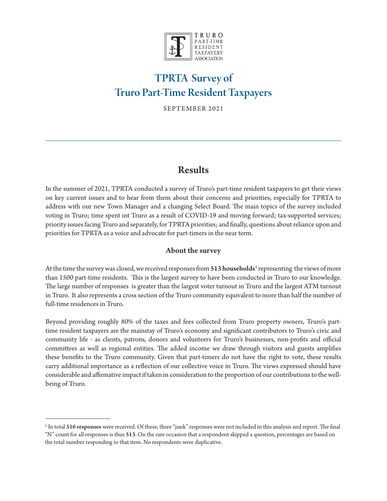

# TPRTA Survey of Truro Part-Time Resident Taxpayers

SEPTEMBER 2021

## Results

In the summer of 2021, TPRTA conducted a survey of Truro's part-time resident taxpayers to get their views on key current issues and to hear from them about their concerns and priorities, especially for TPRTA to address with our new Town Manager and a changing Select Board. The main topics of the survey included voting in Truro; time spent int Truro as a result of COVID-19 and moving forward; tax-supported services; priority issues facing Truro and separately, for TPRTA priorities; and finally, questions about reliance upon and priorities for TPRTA as a voice and advocate for part-timers in the near term.

## About the survey

At the time the survey was closed, we received responses from 513 households<sup>1</sup> representing the views of more than 1500 part-time residents. This is the largest survey to have been conducted in Truro to our knowledge. The large number of responses is greater than the largest voter turnout in Truro and the largest ATM turnout in Truro. It also represents a cross section of the Truro community equivalent to more than half the number of full-time residences in Truro.

Beyond providing roughly 80% of the taxes and fees collected from Truro property owners, Truro's parttime resident taxpayers are the mainstay of Truro's economy and significant contributors to Truro's civic and community life - as clients, patrons, donors and volunteers for Truro's businesses, non-profits and official committees as well as regional entities. The added income we draw through visitors and guests amplifies these benefits to the Truro community. Given that part-timers do not have the right to vote, these results carry additional importance as a reflection of our collective voice in Truro. The views expressed should have considerable and affirmative impact if taken in consideration to the proportion of our contributions to the wellbeing of Truro.

<sup>&</sup>lt;sup>1</sup> In total 516 responses were received. Of these, three "junk" responses were not included in this analysis and report. The final "N" count for all responses is thus 513. On the rare occasion that a respondent skipped a question, percentages are based on the total number responding to that item. No respondents were duplicative.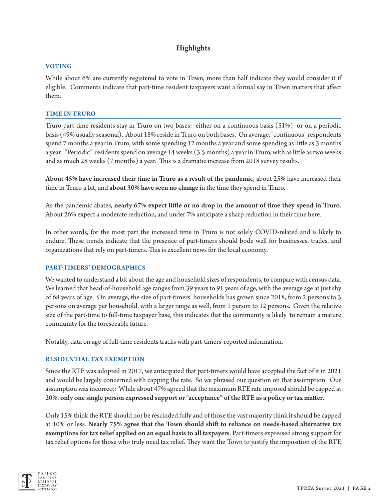## Highlights

## VOTING

While about 6% are currently registered to vote in Town, more than half indicate they would consider it if eligible. Comments indicate that part-time resident taxpayers want a formal say in Town matters that affect them.

## TIME IN TRURO

Truro part-time residents stay in Truro on two bases: either on a continuous basis (51%) or on a periodic basis (49% usually seasonal). About 18% reside in Truro on both bases. On average, "continuous" respondents spend 7 months a year in Truro, with some spending 12 months a year and some spending as little as 3 months a year. "Periodic" residents spend on average 14 weeks (3.5 months) a year in Truro, with as little as two weeks and as much 28 weeks (7 months) a year. This is a dramatic increase from 2018 survey results.

About 45% have increased their time in Truro as a result of the pandemic, about 25% have increased their time in Truro a bit, and about 30% have seen no change in the time they spend in Truro.

As the pandemic abates, nearly 67% expect little or no drop in the amount of time they spend in Truro. About 26% expect a moderate reduction, and under 7% anticipate a sharp reduction in their time here.

In other words, for the most part the increased time in Truro is not solely COVID-related and is likely to endure. These trends indicate that the presence of part-timers should bode well for businesses, trades, and organizations that rely on part-timers. This is excellent news for the local economy.

## PART-TIMERS' DEMOGRAPHICS

We wanted to understand a bit about the age and household sizes of respondents, to compare with census data. We learned that head-of-household age ranges from 39 years to 91 years of age, with the average age at just shy of 68 years of age. On average, the size of part-timers' households has grown since 2018, from 2 persons to 3 persons on average per household, with a larger range as well, from 1 person to 12 persons. Given the relative size of the part-time to full-time taxpayer base, this indicates that the community is likely to remain a mature community for the foreseeable future.

Notably, data on age of full-time residents tracks with part-timers' reported information.

## RESIDENTIAL TAX EXEMPTION

Since the RTE was adopted in 2017, we anticipated that part-timers would have accepted the fact of it in 2021 and would be largely concerned with capping the rate. So we phrased our question on that assumption. Our assumption was incorrect: While about 47% agreed that the maximum RTE rate imposed should be capped at 20%, only one single person expressed support or "acceptance" of the RTE as a policy or tax matter.

Only 15% think the RTE should not be rescinded fully and of those the vast majority think it should be capped at 10% or less. Nearly 75% agree that the Town should shift to reliance on needs-based alternative tax exemptions for tax relief applied on an equal basis to all taxpayers. Part-timers expressed strong support for tax relief options for those who truly need tax relief. They want the Town to justify the imposition of the RTE

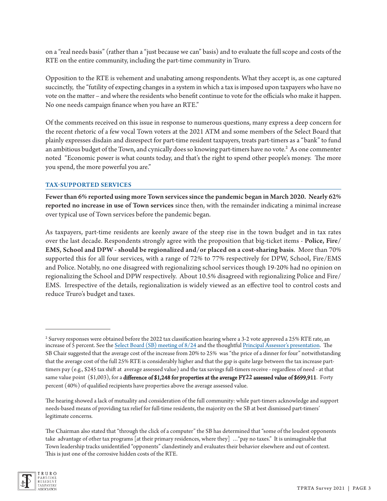on a "real needs basis" (rather than a "just because we can" basis) and to evaluate the full scope and costs of the RTE on the entire community, including the part-time community in Truro.

Opposition to the RTE is vehement and unabating among respondents. What they accept is, as one captured succinctly, the "futility of expecting changes in a system in which a tax is imposed upon taxpayers who have no vote on the matter – and where the residents who benefit continue to vote for the officials who make it happen. No one needs campaign finance when you have an RTE."

Of the comments received on this issue in response to numerous questions, many express a deep concern for the recent rhetoric of a few vocal Town voters at the 2021 ATM and some members of the Select Board that plainly expresses disdain and disrespect for part-time resident taxpayers, treats part-timers as a "bank" to fund an ambitious budget of the Town, and cynically does so knowing part-timers have no vote.<sup>2</sup> As one commenter noted "Economic power is what counts today, and that's the right to spend other people's money. The more you spend, the more powerful you are."

#### TAX-SUPPORTED SERVICES

Fewer than 6% reported using more Town services since the pandemic began in March 2020. Nearly 62% reported no increase in use of Town services since then, with the remainder indicating a minimal increase over typical use of Town services before the pandemic began.

As taxpayers, part-time residents are keenly aware of the steep rise in the town budget and in tax rates over the last decade. Respondents strongly agree with the proposition that big-ticket items - Police, Fire/ EMS, School and DPW - should be regionalized and/or placed on a cost-sharing basis. More than 70% supported this for all four services, with a range of 72% to 77% respectively for DPW, School, Fire/EMS and Police. Notably, no one disagreed with regionalizing school services though 19-20% had no opinion on regionalizing the School and DPW respectively. About 10.5% disagreed with regionalizing Police and Fire/ EMS. Irrespective of the details, regionalization is widely viewed as an effective tool to control costs and reduce Truro's budget and taxes.

The Chairman also stated that "through the click of a computer" the SB has determined that "some of the loudest opponents take advantage of other tax programs [at their primary residences, where they] …"pay no taxes." It is unimaginable that Town leadership tracks unidentified "opponents" clandestinely and evaluates their behavior elsewhere and out of context. This is just one of the corrosive hidden costs of the RTE.



 $^2$  Survey responses were obtained before the 2022 tax classification hearing where a 3-2 vote approved a 25% RTE rate, an increase of 5 percent. See the [Select Board \(SB\) meeting of 8/24](http://trurotv.truro-ma.gov/CablecastPublicSite/show/5043?channel=1) and the thoughtfu[l Principal Assessor's presentation.](https://www.truro-ma.gov/sites/g/files/vyhlif3936/f/uploads/fy22_tax_classification_hearing_preso_public_final.pdf) The SB Chair suggested that the average cost of the increase from 20% to 25% was "the price of a dinner for four" notwithstanding that the average cost of the full 25% RTE is considerably higher and that the gap is quite large between the tax increase parttimers pay (e.g., \$245 tax shift at average assessed value) and the tax savings full-timers receive - regardless of need - at that same value point (\$1,003), for a difference of \$1,248 for properties at the average FY**22** assessed value of \$699,911. Forty percent (40%) of qualified recipients have properties above the average assessed value.

The hearing showed a lack of mutuality and consideration of the full community: while part-timers acknowledge and support needs-based means of providing tax relief for full-time residents, the majority on the SB at best dismissed part-timers' legitimate concerns.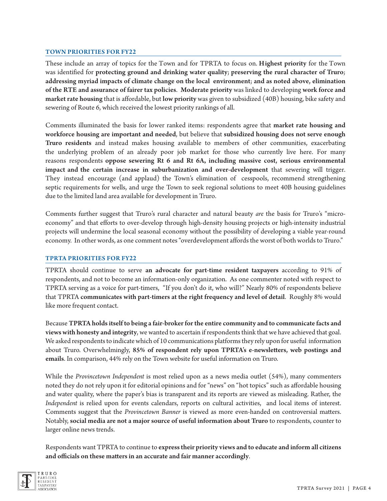#### TOWN PRIORITIES FOR FY**22**

These include an array of topics for the Town and for TPRTA to focus on. Highest priority for the Town was identified for protecting ground and drinking water quality; preserving the rural character of Truro; addressing myriad impacts of climate change on the local environment; and as noted above, elimination of the RTE and assurance of fairer tax policies. Moderate priority was linked to developing work force and market rate housing that is affordable, but low priority was given to subsidized (40B) housing, bike safety and sewering of Route 6, which received the lowest priority rankings of all.

Comments illuminated the basis for lower ranked items: respondents agree that market rate housing and workforce housing are important and needed, but believe that subsidized housing does not serve enough Truro residents and instead makes housing available to members of other communities, exacerbating the underlying problem of an already poor job market for those who currently live here. For many reasons respondents oppose sewering Rt 6 and Rt 6A**,** including massive cost, serious environmental impact and the certain increase in suburbanization and over-development that sewering will trigger. They instead encourage (and applaud) the Town's elimination of cesspools, recommend strengthening septic requirements for wells, and urge the Town to seek regional solutions to meet 40B housing guidelines due to the limited land area available for development in Truro.

Comments further suggest that Truro's rural character and natural beauty *are* the basis for Truro's "microeconomy" and that efforts to over-develop through high-density housing projects or high-intensity industrial projects will undermine the local seasonal economy without the possibility of developing a viable year-round economy. In other words, as one comment notes "overdevelopment affords the worst of both worlds to Truro."

#### TPRTA PRIORITIES FOR FY**22**

TPRTA should continue to serve an advocate for part-time resident taxpayers according to 91% of respondents, and not to become an information-only organization. As one commenter noted with respect to TPRTA serving as a voice for part-timers, "If you don't do it, who will?" Nearly 80% of respondents believe that TPRTA communicates with part-timers at the right frequency and level of detail. Roughly 8% would like more frequent contact.

Because TPRTA holds itself to being a fair-broker for the entire community and to communicate facts and views with honesty and integrity, we wanted to ascertain if respondents think that we have achieved that goal. We asked respondents to indicate which of 10 communications platforms they rely upon for useful information about Truro. Overwhelmingly, 85% of respondent rely upon TPRTA's e-newsletters, web postings and emails. In comparison, 44% rely on the Town website for useful information on Truro.

While the *Provincetown Independent* is most relied upon as a news media outlet (54%), many commenters noted they do not rely upon it for editorial opinions and for "news" on "hot topics" such as affordable housing and water quality, where the paper's bias is transparent and its reports are viewed as misleading. Rather, the *Independent* is relied upon for events calendars, reports on cultural activities, and local items of interest. Comments suggest that the *Provincetown Banner* is viewed as more even-handed on controversial matters. Notably, social media are not a major source of useful information about Truro to respondents, counter to larger online news trends.

Respondents want TPRTA to continue to express their priority views and to educate and inform all citizens and officials on these matters in an accurate and fair manner accordingly.

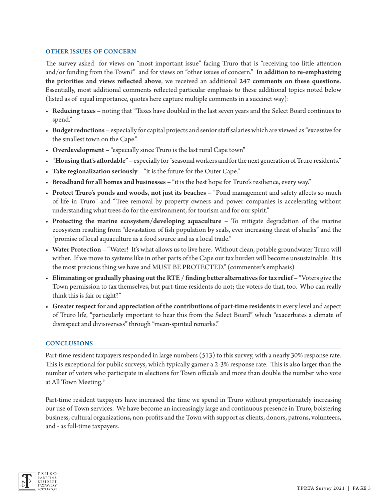#### OTHER ISSUES OF CONCERN

The survey asked for views on "most important issue" facing Truro that is "receiving too little attention and/or funding from the Town?" and for views on "other issues of concern." In addition to re-emphasizing the priorities and views reflected above, we received an additional 247 comments on these questions. Essentially, most additional comments reflected particular emphasis to these additional topics noted below (listed as of equal importance, quotes here capture multiple comments in a succinct way):

- Reducing taxes noting that "Taxes have doubled in the last seven years and the Select Board continues to spend."
- Budget reductions especially for capital projects and senior staff salaries which are viewed as "excessive for the smallest town on the Cape."
- Overdevelopment "especially since Truro is the last rural Cape town"
- "Housing that's affordable" especially for "seasonal workers and for the next generation of Truro residents."
- Take regionalization seriously "it is the future for the Outer Cape."
- Broadband for all homes and businesses "it is the best hope for Truro's resilience, every way."
- Protect Truro's ponds and woods, not just its beaches "Pond management and safety affects so much of life in Truro" and "Tree removal by property owners and power companies is accelerating without understanding what trees do for the environment, for tourism and for our spirit."
- Protecting the marine ecosystem/developing aquaculture To mitigate degradation of the marine ecosystem resulting from "devastation of fish population by seals, ever increasing threat of sharks" and the "promise of local aquaculture as a food source and as a local trade."
- Water Protection "Water! It's what allows us to live here. Without clean, potable groundwater Truro will wither. If we move to systems like in other parts of the Cape our tax burden will become unsustainable. It is the most precious thing we have and MUST BE PROTECTED." (commenter's emphasis)
- Eliminating or gradually phasing out the RTE / finding better alternatives for tax relief "Voters give the Town permission to tax themselves, but part-time residents do not; the voters do that, too. Who can really think this is fair or right?"
- Greater respect for and appreciation of the contributions of part-time residents in every level and aspect of Truro life, "particularly important to hear this from the Select Board" which "exacerbates a climate of disrespect and divisiveness" through "mean-spirited remarks."

## **CONCLUSIONS**

Part-time resident taxpayers responded in large numbers (513) to this survey, with a nearly 30% response rate. This is exceptional for public surveys, which typically garner a 2-3% response rate. This is also larger than the number of voters who participate in elections for Town officials and more than double the number who vote at All Town Meeting.<sup>3</sup>

Part-time resident taxpayers have increased the time we spend in Truro without proportionately increasing our use of Town services. We have become an increasingly large and continuous presence in Truro, bolstering business, cultural organizations, non-profits and the Town with support as clients, donors, patrons, volunteers, and - as full-time taxpayers.

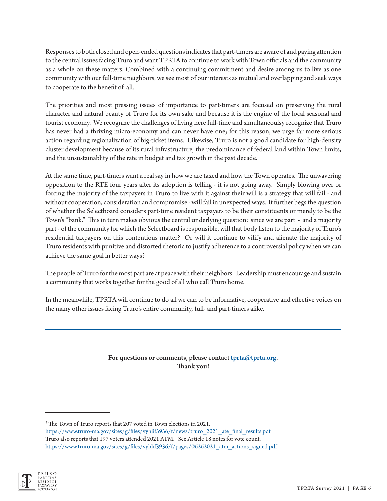Responses to both closed and open-ended questions indicates that part-timers are aware of and paying attention to the central issues facing Truro and want TPRTA to continue to work with Town officials and the community as a whole on these matters. Combined with a continuing commitment and desire among us to live as one community with our full-time neighbors, we see most of our interests as mutual and overlapping and seek ways to cooperate to the benefit of all.

The priorities and most pressing issues of importance to part-timers are focused on preserving the rural character and natural beauty of Truro for its own sake and because it is the engine of the local seasonal and tourist economy. We recognize the challenges of living here full-time and simultaneoulsy recognize that Truro has never had a thriving micro-economy and can never have one; for this reason, we urge far more serious action regarding regionalization of big-ticket items. Likewise, Truro is not a good candidate for high-density cluster development because of its rural infrastructure, the predominance of federal land within Town limits, and the unsustainablity of the rate in budget and tax growth in the past decade.

At the same time, part-timers want a real say in how we are taxed and how the Town operates. The unwavering opposition to the RTE four years after its adoption is telling - it is not going away. Simply blowing over or forcing the majority of the taxpayers in Truro to live with it against their will is a strategy that will fail - and without cooperation, consideration and compromise - will fail in unexpected ways. It further begs the question of whether the Selectboard considers part-time resident taxpayers to be their constituents or merely to be the Town's "bank." This in turn makes obvious the central underlying question: since we are part - and a majority part - of the community for which the Selectboard is responsible, will that body listen to the majority of Truro's residential taxpayers on this contentious matter? Or will it continue to vilify and alienate the majority of Truro residents with punitive and distorted rhetoric to justify adherence to a controversial policy when we can achieve the same goal in better ways?

The people of Truro for the most part are at peace with their neighbors. Leadership must encourage and sustain a community that works together for the good of all who call Truro home.

In the meanwhile, TPRTA will continue to do all we can to be informative, cooperative and effective voices on the many other issues facing Truro's entire community, full- and part-timers alike.

## For questions or comments, please contact tprta@tprta.org. Thank you!

[https://www.truro-ma.gov/sites/g/files/vyhlif3936/f/news/truro\\_2021\\_ate\\_final\\_results.pdf](https://www.truro-ma.gov/sites/g/files/vyhlif3936/f/news/truro_2021_ate_final_results.pdf) Truro also reports that 197 voters attended 2021 ATM. See Article 18 notes for vote count. [https://www.truro-ma.gov/sites/g/files/vyhlif3936/f/pages/06262021\\_atm\\_actions\\_signed.pdf](https://www.truro-ma.gov/sites/g/files/vyhlif3936/f/pages/06262021_atm_actions_signed.pdf)



<sup>&</sup>lt;sup>3</sup> The Town of Truro reports that 207 voted in Town elections in 2021.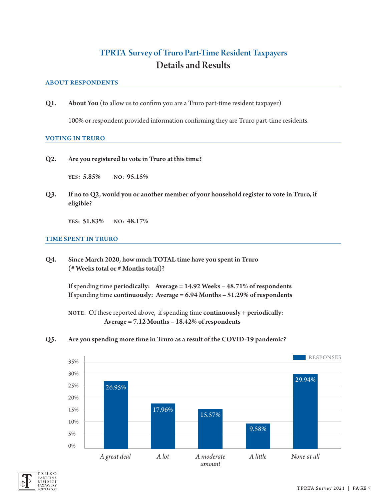## TPRTA Survey of Truro Part-Time Resident Taxpayers Details and Results

#### ABOUT RESPONDENTS

Q1. About You (to allow us to confirm you are a Truro part-time resident taxpayer)

100% or respondent provided information confirming they are Truro part-time residents.

#### VOTING IN TRURO

Q2. Are you registered to vote in Truro at this time?

YES: 5.85% NO: 95.15%

Q3. If no to Q2, would you or another member of your household register to vote in Truro, if eligible?

YES: 51.83% NO: 48.17%

#### TIME SPENT IN TRURO

Q4. Since March 2020, how much TOTAL time have you spent in Truro (# Weeks total or # Months total)?

> If spending time periodically: Average = 14.92 Weeks – 48.71% of respondents If spending time continuously: Average = 6.94 Months – 51.29% of respondents

NOTE: Of these reported above, if spending time continuously + periodically: Average = 7.12 Months – 18.42% of respondents

Q5. Are you spending more time in Truro as a result of the COVID-19 pandemic?



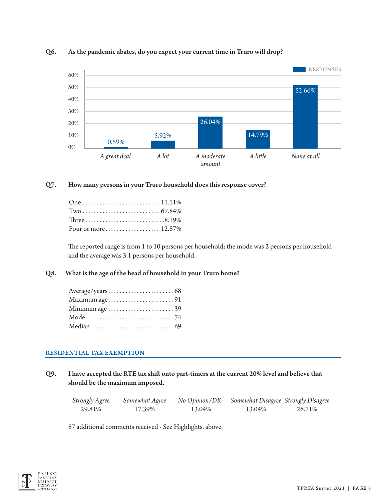

## Q6. As the pandemic abates, do you expect your current time in Truro will drop?

## Q7. How many persons in your Truro household does this response cover?

| One  11.11%         |  |
|---------------------|--|
|                     |  |
| Three8.19%          |  |
| Four or more 12.87% |  |

The reported range is from 1 to 10 persons per household; the mode was 2 persons per household and the average was 3.1 persons per household.

## Q8. What is the age of the head of household in your Truro home?

| Maximum age91 |  |
|---------------|--|
|               |  |
|               |  |
|               |  |

## RESIDENTIAL TAX EXEMPTION

Q9. I have accepted the RTE tax shift onto part-timers at the current 20% level and believe that should be the maximum imposed.

| <b>Strongly Agree</b> | Somewhat Agree | No Opinion/DK | Somewhat Disagree Strongly Disagree |        |
|-----------------------|----------------|---------------|-------------------------------------|--------|
| 29.81%                | 17.39%         | 13.04%        | 13.04%                              | 26.71% |

87 additional comments received - See Highlights, above.

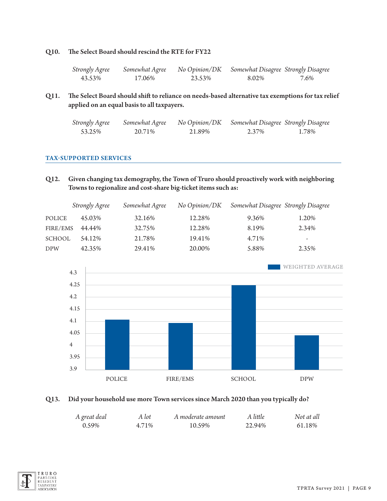#### Q10. The Select Board should rescind the RTE for FY22

| Strongly Agree | Somewhat Agree | No Opinion/DK | Somewhat Disagree Strongly Disagree |      |
|----------------|----------------|---------------|-------------------------------------|------|
| 43.53%         | 17.06%         | 23.53%        | 8.02%                               | 7.6% |

Q11. The Select Board should shift to reliance on needs-based alternative tax exemptions for tax relief applied on an equal basis to all taxpayers.

| Strongly Agree | Somewhat Agree | No Opinion/DK | Somewhat Disagree Strongly Disagree |       |
|----------------|----------------|---------------|-------------------------------------|-------|
| 53.25%         | 20.71%         | 21.89%        | 2.37%                               | 1.78% |

#### TAX-SUPPORTED SERVICES

Q12. Given changing tax demography, the Town of Truro should proactively work with neighboring Towns to regionalize and cost-share big-ticket items such as:

|               | Strongly Agree | Somewhat Agree | No Opinion/DK | Somewhat Disagree Strongly Disagree |       |
|---------------|----------------|----------------|---------------|-------------------------------------|-------|
| POLICE        | 45.03%         | 32.16%         | 12.28%        | 9.36%                               | 1.20% |
| FIRE/EMS      | 44.44%         | 32.75%         | 12.28%        | 8.19%                               | 2.34% |
| <b>SCHOOL</b> | 54.12%         | 21.78%         | 19.41%        | 4.71%                               | -     |
| <b>DPW</b>    | 42.35%         | 29.41%         | 20.00%        | 5.88%                               | 2.35% |



#### Q13. Did your household use more Town services since March 2020 than you typically do?

| A great deal | A lot | A moderate amount | A little | Not at all |
|--------------|-------|-------------------|----------|------------|
| 0.59%        | 4.71% | 10.59%            | 22.94%   | 61.18%     |

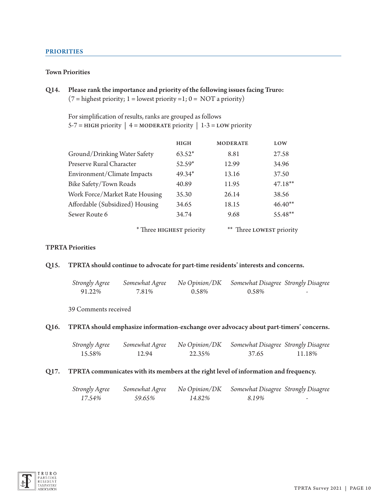#### PRIORITIES

#### Town Priorities

Q14. Please rank the importance and priority of the following issues facing Truro:  $(7 =$  highest priority; 1 = lowest priority = 1; 0 = NOT a priority)

For simplification of results, ranks are grouped as follows  $5-7 = HIGH$  priority | 4 = MODERATE priority | 1-3 = LOW priority

|                                 | <b>HIGH</b>              | <b>MODERATE</b> | LOW                   |
|---------------------------------|--------------------------|-----------------|-----------------------|
| Ground/Drinking Water Safety    | $63.52*$                 | 8.81            | 27.58                 |
| Preserve Rural Character        | 52.59*                   | 12.99           | 34.96                 |
| Environment/Climate Impacts     | $49.34*$                 | 13.16           | 37.50                 |
| Bike Safety/Town Roads          | 40.89                    | 11.95           | $47.18**$             |
| Work Force/Market Rate Housing  | 35.30                    | 26.14           | 38.56                 |
| Affordable (Subsidized) Housing | 34.65                    | 18.15           | $46.40**$             |
| Sewer Route 6                   | 34.74                    | 9.68            | 55.48**               |
|                                 | * Three HIGHEST priority |                 | Three LOWEST priority |

## TPRTA Priorities

#### Q15. TPRTA should continue to advocate for part-time residents' interests and concerns.

| Strongly Agree | Somewhat Agree |       | No Opinion/DK Somewhat Disagree Strongly Disagree |   |
|----------------|----------------|-------|---------------------------------------------------|---|
| 91.22%         | 7.81%          | 0.58% | 0.58%                                             | - |

39 Comments received

#### Q16. TPRTA should emphasize information-exchange over advocacy about part-timers' concerns.

| <b>Strongly Agree</b> | Somewhat Agree | No Opinion/DK | Somewhat Disagree Strongly Disagree |        |
|-----------------------|----------------|---------------|-------------------------------------|--------|
| 15.58%                | 12.94          | 22.35%        | 37.65                               | 11.18% |

#### Q17. TPRTA communicates with its members at the right level of information and frequency.

| <b>Strongly Agree</b> | Somewhat Agree |        | No Opinion/DK Somewhat Disagree Strongly Disagree |   |
|-----------------------|----------------|--------|---------------------------------------------------|---|
| 17.54%                | 59.65%         | 14.82% | 8.19%                                             | - |